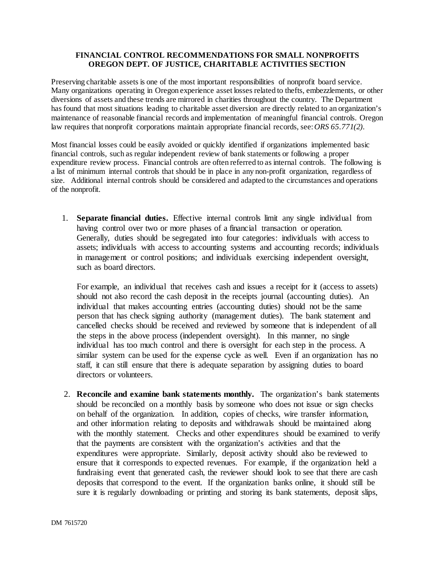## **FINANCIAL CONTROL RECOMMENDATIONS FOR SMALL NONPROFITS OREGON DEPT. OF JUSTICE, CHARITABLE ACTIVITIES SECTION**

Preserving charitable assets is one of the most important responsibilities of nonprofit board service. Many organizations operating in Oregon experience asset losses related to thefts, embezzlements, or other diversions of assets and these trends are mirrored in charities throughout the country. The Department has found that most situations leading to charitable asset diversion are directly related to an organization's maintenance of reasonable financial records and implementation of meaningful financial controls. Oregon law requires that nonprofit corporations maintain appropriate financial records, see: *ORS 65.771(2)*.

Most financial losses could be easily avoided or quickly identified if organizations implemented basic financial controls, such as regular independent review of bank statements or following a proper expenditure review process. Financial controls are often referred to as internal controls. The following is a list of minimum internal controls that should be in place in any non-profit organization, regardless of size. Additional internal controls should be considered and adapted to the circumstances and operations of the nonprofit.

 1. **Separate financial duties.** Effective internal controls limit any single individual from having control over two or more phases of a financial transaction or operation. Generally, duties should be segregated into four categories: individuals with access to assets; individuals with access to accounting systems and accounting records; individuals in management or control positions; and individuals exercising independent oversight, such as board directors.

For example, an individual that receives cash and issues a receipt for it (access to assets) should not also record the cash deposit in the receipts journal (accounting duties). An individual that makes accounting entries (accounting duties) should not be the same person that has check signing authority (management duties). The bank statement and cancelled checks should be received and reviewed by someone that is independent of all the steps in the above process (independent oversight). In this manner, no single individual has too much control and there is oversight for each step in the process. A similar system can be used for the expense cycle as well. Even if an organization has no staff, it can still ensure that there is adequate separation by assigning duties to board directors or volunteers.

 2. **Reconcile and examine bank statements monthly.** The organization's bank statements should be reconciled on a monthly basis by someone who does not issue or sign checks on behalf of the organization. In addition, copies of checks, wire transfer information, and other information relating to deposits and withdrawals should be maintained along with the monthly statement. Checks and other expenditures should be examined to verify that the payments are consistent with the organization's activities and that the expenditures were appropriate. Similarly, deposit activity should also be reviewed to ensure that it corresponds to expected revenues. For example, if the organization held a fundraising event that generated cash, the reviewer should look to see that there are cash deposits that correspond to the event. If the organization banks online, it should still be sure it is regularly downloading or printing and storing its bank statements, deposit slips,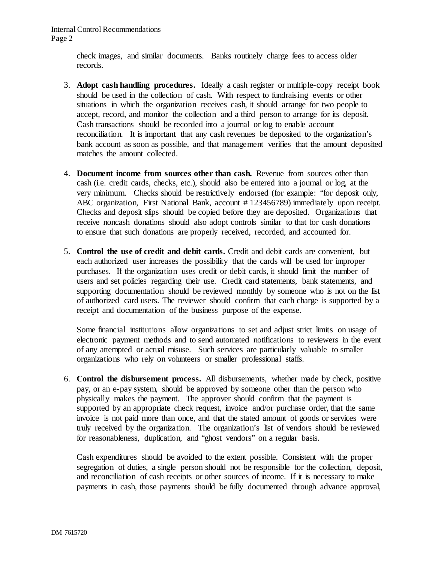Internal Control Recommendations Page 2

> check images, and similar documents. Banks routinely charge fees to access older records.

- 3. **Adopt cash handling procedures.** Ideally a cash register or multiple-copy receipt book should be used in the collection of cash. With respect to fundraising events or other situations in which the organization receives cash, it should arrange for two people to accept, record, and monitor the collection and a third person to arrange for its deposit. Cash transactions should be recorded into a journal or log to enable account reconciliation. It is important that any cash revenues be deposited to the organization's bank account as soon as possible, and that management verifies that the amount deposited matches the amount collected.
- 4. **Document income from sources other than cash.** Revenue from sources other than cash (i.e. credit cards, checks, etc.), should also be entered into a journal or log, at the very minimum. Checks should be restrictively endorsed (for example: "for deposit only, ABC organization, First National Bank, account #123456789) immediately upon receipt. Checks and deposit slips should be copied before they are deposited. Organizations that receive noncash donations should also adopt controls similar to that for cash donations to ensure that such donations are properly received, recorded, and accounted for.
- 5. **Control the use of credit and debit cards.** Credit and debit cards are convenient, but each authorized user increases the possibility that the cards will be used for improper purchases. If the organization uses credit or debit cards, it should limit the number of users and set policies regarding their use. Credit card statements, bank statements, and supporting documentation should be reviewed monthly by someone who is not on the list of authorized card users. The reviewer should confirm that each charge is supported by a receipt and documentation of the business purpose of the expense.

Some financial institutions allow organizations to set and adjust strict limits on usage of electronic payment methods and to send automated notifications to reviewers in the event of any attempted or actual misuse. Such services are particularly valuable to smaller organizations who rely on volunteers or smaller professional staffs.

6. **Control the disbursement process.** All disbursements, whether made by check, positive pay, or an e-pay system, should be approved by someone other than the person who physically makes the payment. The approver should confirm that the payment is supported by an appropriate check request, invoice and/or purchase order, that the same invoice is not paid more than once, and that the stated amount of goods or services were truly received by the organization. The organization's list of vendors should be reviewed for reasonableness, duplication, and "ghost vendors" on a regular basis.

Cash expenditures should be avoided to the extent possible. Consistent with the proper segregation of duties, a single person should not be responsible for the collection, deposit, and reconciliation of cash receipts or other sources of income. If it is necessary to make payments in cash, those payments should be fully documented through advance approval,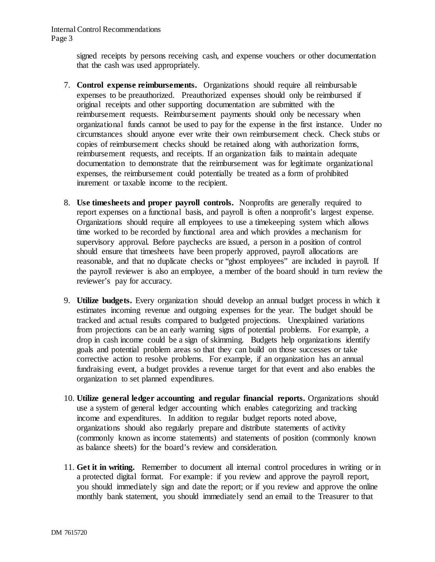signed receipts by persons receiving cash, and expense vouchers or other documentation that the cash was used appropriately.

- 7. **Control expense reimbursements.** Organizations should require all reimbursable expenses to be preauthorized. Preauthorized expenses should only be reimbursed if original receipts and other supporting documentation are submitted with the reimbursement requests. Reimbursement payments should only be necessary when organizational funds cannot be used to pay for the expense in the first instance. Under no circumstances should anyone ever write their own reimbursement check. Check stubs or copies of reimbursement checks should be retained along with authorization forms, reimbursement requests, and receipts. If an organization fails to maintain adequate documentation to demonstrate that the reimbursement was for legitimate organizational expenses, the reimbursement could potentially be treated as a form of prohibited inurement or taxable income to the recipient.
- 8. **Use timesheets and proper payroll controls.** Nonprofits are generally required to report expenses on a functional basis, and payroll is often a nonprofit's largest expense. Organizations should require all employees to use a timekeeping system which allows time worked to be recorded by functional area and which provides a mechanism for supervisory approval. Before paychecks are issued, a person in a position of control should ensure that timesheets have been properly approved, payroll allocations are reasonable, and that no duplicate checks or "ghost employees" are included in payroll. If the payroll reviewer is also an employee, a member of the board should in turn review the reviewer's pay for accuracy.
- 9. **Utilize budgets.** Every organization should develop an annual budget process in which it estimates incoming revenue and outgoing expenses for the year. The budget should be tracked and actual results compared to budgeted projections. Unexplained variations from projections can be an early warning signs of potential problems. For example, a drop in cash income could be a sign of skimming. Budgets help organizations identify goals and potential problem areas so that they can build on those successes or take corrective action to resolve problems. For example, if an organization has an annual fundraising event, a budget provides a revenue target for that event and also enables the organization to set planned expenditures.
- 10. **Utilize general ledger accounting and regular financial reports.** Organizations should use a system of general ledger accounting which enables categorizing and tracking income and expenditures. In addition to regular budget reports noted above, organizations should also regularly prepare and distribute statements of activity (commonly known as income statements) and statements of position (commonly known as balance sheets) for the board's review and consideration.
- 11. **Get it in writing.** Remember to document all internal control procedures in writing or in a protected digital format. For example: if you review and approve the payroll report, you should immediately sign and date the report; or if you review and approve the online monthly bank statement, you should immediately send an email to the Treasurer to that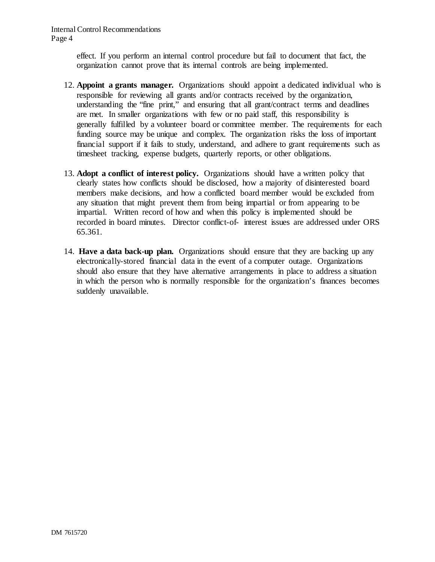Internal Control Recommendations Page 4

> effect. If you perform an internal control procedure but fail to document that fact, the organization cannot prove that its internal controls are being implemented.

- 12. **Appoint a grants manager.** Organizations should appoint a dedicated individual who is responsible for reviewing all grants and/or contracts received by the organization, understanding the "fine print," and ensuring that all grant/contract terms and deadlines are met. In smaller organizations with few or no paid staff, this responsibility is generally fulfilled by a volunteer board or committee member. The requirements for each funding source may be unique and complex. The organization risks the loss of important financial support if it fails to study, understand, and adhere to grant requirements such as timesheet tracking, expense budgets, quarterly reports, or other obligations.
- 13. **Adopt a conflict of interest policy.** Organizations should have a written policy that clearly states how conflicts should be disclosed, how a majority of disinterested board members make decisions, and how a conflicted board member would be excluded from any situation that might prevent them from being impartial or from appearing to be impartial. Written record of how and when this policy is implemented should be recorded in board minutes. Director conflict-of- interest issues are addressed under ORS 65.361.
- 14. **Have a data back-up plan.** Organizations should ensure that they are backing up any electronically-stored financial data in the event of a computer outage. Organizations should also ensure that they have alternative arrangements in place to address a situation in which the person who is normally responsible for the organization's finances becomes suddenly unavailable.